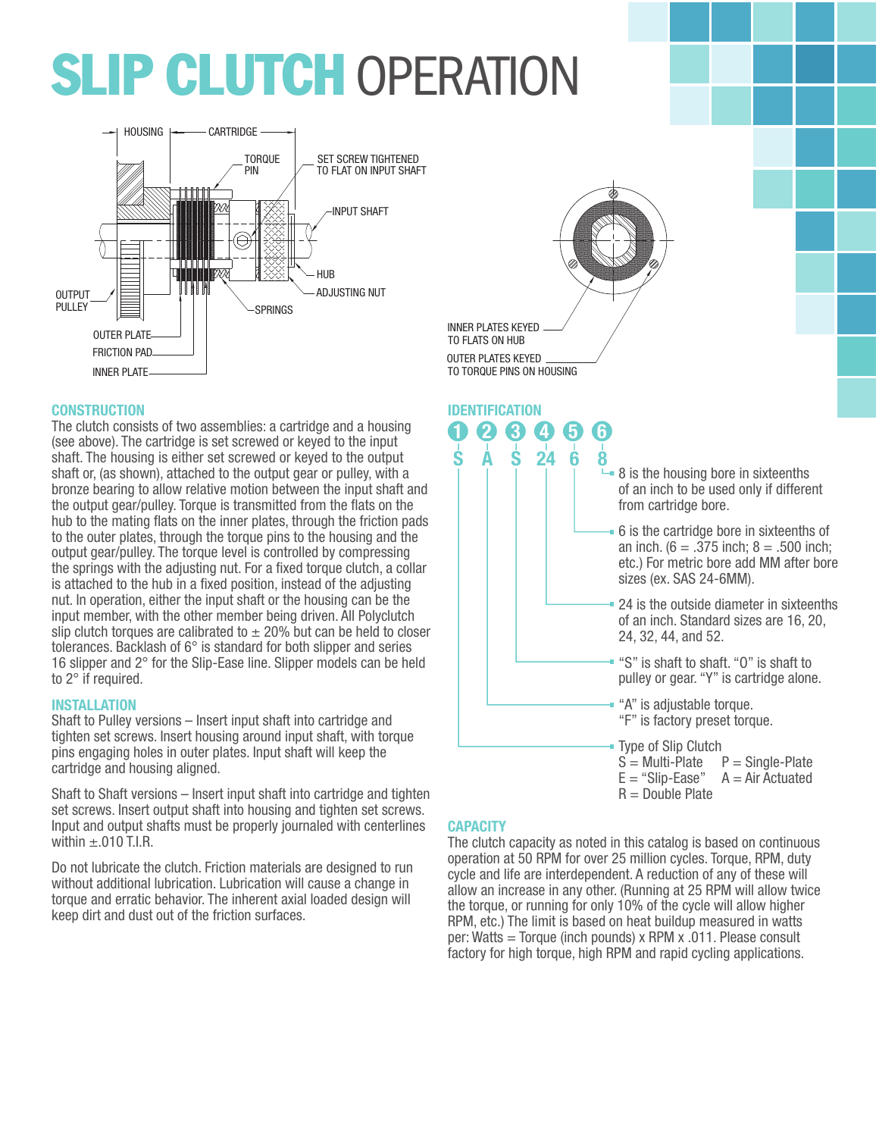# **SLIP CLUTCH OPERATION**



## **CONSTRUCTION**

The clutch consists of two assemblies: a cartridge and a housing (see above). The cartridge is set screwed or keyed to the input shaft. The housing is either set screwed or keyed to the output shaft or, (as shown), attached to the output gear or pulley, with a bronze bearing to allow relative motion between the input shaft and the output gear/pulley. Torque is transmitted from the flats on the hub to the mating flats on the inner plates, through the friction pads to the outer plates, through the torque pins to the housing and the output gear/pulley. The torque level is controlled by compressing the springs with the adjusting nut. For a fixed torque clutch, a collar is attached to the hub in a fixed position, instead of the adjusting nut. In operation, either the input shaft or the housing can be the input member, with the other member being driven. All Polyclutch slip clutch torques are calibrated to  $\pm$  20% but can be held to closer tolerances. Backlash of 6° is standard for both slipper and series 16 slipper and 2° for the Slip-Ease line. Slipper models can be held to 2° if required.

#### **INSTALLATION**

Shaft to Pulley versions – Insert input shaft into cartridge and tighten set screws. Insert housing around input shaft, with torque pins engaging holes in outer plates. Input shaft will keep the cartridge and housing aligned.

Shaft to Shaft versions – Insert input shaft into cartridge and tighten set screws. Insert output shaft into housing and tighten set screws. Input and output shafts must be properly journaled with centerlines within  $\pm .010$  T.I.R.

Do not lubricate the clutch. Friction materials are designed to run without additional lubrication. Lubrication will cause a change in torque and erratic behavior. The inherent axial loaded design will keep dirt and dust out of the friction surfaces.





## **CAPACITY**

The clutch capacity as noted in this catalog is based on continuous operation at 50 RPM for over 25 million cycles. Torque, RPM, duty cycle and life are interdependent. A reduction of any of these will allow an increase in any other. (Running at 25 RPM will allow twice the torque, or running for only 10% of the cycle will allow higher RPM, etc.) The limit is based on heat buildup measured in watts per: Watts = Torque (inch pounds) x RPM x .011. Please consult factory for high torque, high RPM and rapid cycling applications.